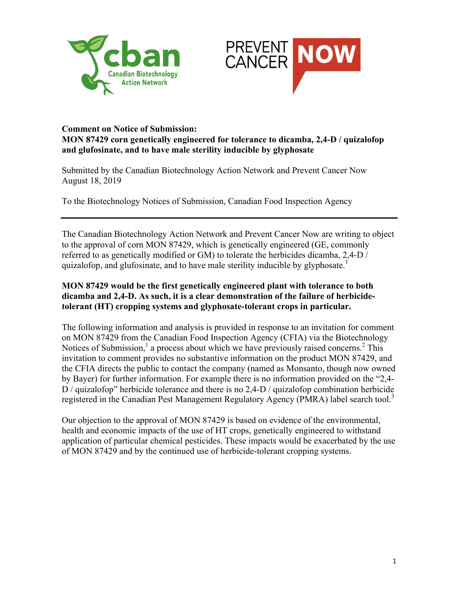



## **Comment on Notice of Submission: MON 87429 corn genetically engineered for tolerance to dicamba, 2,4-D / quizalofop and glufosinate, and to have male sterility inducible by glyphosate**

Submitted by the Canadian Biotechnology Action Network and Prevent Cancer Now August 18, 2019

To the Biotechnology Notices of Submission, Canadian Food Inspection Agency

The Canadian Biotechnology Action Network and Prevent Cancer Now are writing to object to the approval of corn MON 87429, which is genetically engineered (GE, commonly referred to as genetically modified or GM) to tolerate the herbicides dicamba, 2,4-D / quizalofop, and glufosinate, and to have male sterility inducible by glyphosate.<sup>1</sup>

## **MON 87429 would be the first genetically engineered plant with tolerance to both dicamba and 2,4-D. As such, it is a clear demonstration of the failure of herbicidetolerant (HT) cropping systems and glyphosate-tolerant crops in particular.**

The following information and analysis is provided in response to an invitation for comment on MON 87429 from the Canadian Food Inspection Agency (CFIA) via the Biotechnology Notices of Submission,<sup>1</sup> a process about which we have previously raised concerns.<sup>2</sup> This invitation to comment provides no substantive information on the product MON 87429, and the CFIA directs the public to contact the company (named as Monsanto, though now owned by Bayer) for further information. For example there is no information provided on the "2,4- D / quizalofop" herbicide tolerance and there is no 2,4-D / quizalofop combination herbicide registered in the Canadian Pest Management Regulatory Agency (PMRA) label search tool.<sup>3</sup>

Our objection to the approval of MON 87429 is based on evidence of the environmental, health and economic impacts of the use of HT crops, genetically engineered to withstand application of particular chemical pesticides. These impacts would be exacerbated by the use of MON 87429 and by the continued use of herbicide-tolerant cropping systems.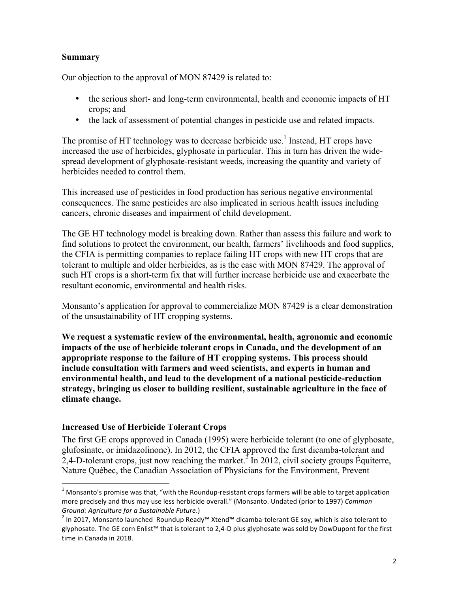## **Summary**

Our objection to the approval of MON 87429 is related to:

- the serious short- and long-term environmental, health and economic impacts of HT crops; and
- the lack of assessment of potential changes in pesticide use and related impacts.

The promise of HT technology was to decrease herbicide use.<sup>1</sup> Instead, HT crops have increased the use of herbicides, glyphosate in particular. This in turn has driven the widespread development of glyphosate-resistant weeds, increasing the quantity and variety of herbicides needed to control them.

This increased use of pesticides in food production has serious negative environmental consequences. The same pesticides are also implicated in serious health issues including cancers, chronic diseases and impairment of child development.

The GE HT technology model is breaking down. Rather than assess this failure and work to find solutions to protect the environment, our health, farmers' livelihoods and food supplies, the CFIA is permitting companies to replace failing HT crops with new HT crops that are tolerant to multiple and older herbicides, as is the case with MON 87429. The approval of such HT crops is a short-term fix that will further increase herbicide use and exacerbate the resultant economic, environmental and health risks.

Monsanto's application for approval to commercialize MON 87429 is a clear demonstration of the unsustainability of HT cropping systems.

**We request a systematic review of the environmental, health, agronomic and economic impacts of the use of herbicide tolerant crops in Canada, and the development of an appropriate response to the failure of HT cropping systems. This process should include consultation with farmers and weed scientists, and experts in human and environmental health, and lead to the development of a national pesticide-reduction strategy, bringing us closer to building resilient, sustainable agriculture in the face of climate change.**

#### **Increased Use of Herbicide Tolerant Crops**

The first GE crops approved in Canada (1995) were herbicide tolerant (to one of glyphosate, glufosinate, or imidazolinone). In 2012, the CFIA approved the first dicamba-tolerant and 2,4-D-tolerant crops, just now reaching the market.<sup>2</sup> In 2012, civil society groups Équiterre, Nature Québec, the Canadian Association of Physicians for the Environment, Prevent

 $1$  Monsanto's promise was that, "with the Roundup-resistant crops farmers will be able to target application more precisely and thus may use less herbicide overall." (Monsanto. Undated (prior to 1997) *Common Ground: Agriculture for a Sustainable Future*.)<br><sup>2</sup> In 2017, Monsanto launched Roundup Ready™ Xtend™ dicamba-tolerant GE soy, which is also tolerant to

glyphosate. The GE corn Enlist™ that is tolerant to 2,4-D plus glyphosate was sold by DowDupont for the first time in Canada in 2018.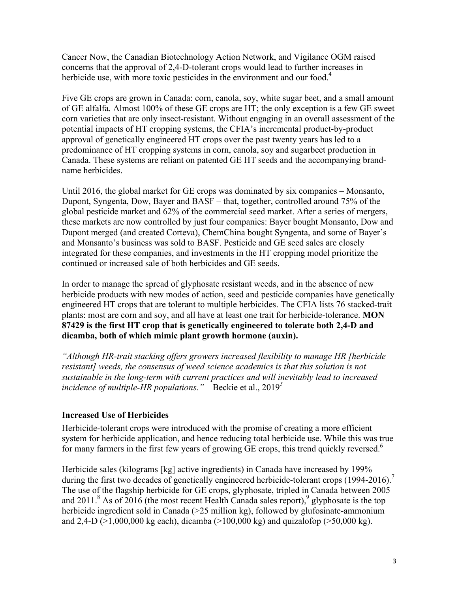Cancer Now, the Canadian Biotechnology Action Network, and Vigilance OGM raised concerns that the approval of 2,4-D-tolerant crops would lead to further increases in herbicide use, with more toxic pesticides in the environment and our food.<sup>4</sup>

Five GE crops are grown in Canada: corn, canola, soy, white sugar beet, and a small amount of GE alfalfa. Almost 100% of these GE crops are HT; the only exception is a few GE sweet corn varieties that are only insect-resistant. Without engaging in an overall assessment of the potential impacts of HT cropping systems, the CFIA's incremental product-by-product approval of genetically engineered HT crops over the past twenty years has led to a predominance of HT cropping systems in corn, canola, soy and sugarbeet production in Canada. These systems are reliant on patented GE HT seeds and the accompanying brandname herbicides.

Until 2016, the global market for GE crops was dominated by six companies – Monsanto, Dupont, Syngenta, Dow, Bayer and BASF – that, together, controlled around 75% of the global pesticide market and 62% of the commercial seed market. After a series of mergers, these markets are now controlled by just four companies: Bayer bought Monsanto, Dow and Dupont merged (and created Corteva), ChemChina bought Syngenta, and some of Bayer's and Monsanto's business was sold to BASF. Pesticide and GE seed sales are closely integrated for these companies, and investments in the HT cropping model prioritize the continued or increased sale of both herbicides and GE seeds.

In order to manage the spread of glyphosate resistant weeds, and in the absence of new herbicide products with new modes of action, seed and pesticide companies have genetically engineered HT crops that are tolerant to multiple herbicides. The CFIA lists 76 stacked-trait plants: most are corn and soy, and all have at least one trait for herbicide-tolerance. **MON 87429 is the first HT crop that is genetically engineered to tolerate both 2,4-D and dicamba, both of which mimic plant growth hormone (auxin).**

*"Although HR-trait stacking offers growers increased flexibility to manage HR [herbicide resistant] weeds, the consensus of weed science academics is that this solution is not sustainable in the long-term with current practices and will inevitably lead to increased incidence of multiple-HR populations."* – Beckie et al., 2019*<sup>5</sup>*

#### **Increased Use of Herbicides**

Herbicide-tolerant crops were introduced with the promise of creating a more efficient system for herbicide application, and hence reducing total herbicide use. While this was true for many farmers in the first few years of growing GE crops, this trend quickly reversed.<sup>6</sup>

Herbicide sales (kilograms [kg] active ingredients) in Canada have increased by 199% during the first two decades of genetically engineered herbicide-tolerant crops (1994-2016).<sup>7</sup> The use of the flagship herbicide for GE crops, glyphosate, tripled in Canada between 2005 and 2011.<sup>8</sup> As of 2016 (the most recent Health Canada sales report), <sup>9</sup> glyphosate is the top herbicide ingredient sold in Canada (>25 million kg), followed by glufosinate-ammonium and 2,4-D ( $>1,000,000$  kg each), dicamba ( $>100,000$  kg) and quizalofop ( $>50,000$  kg).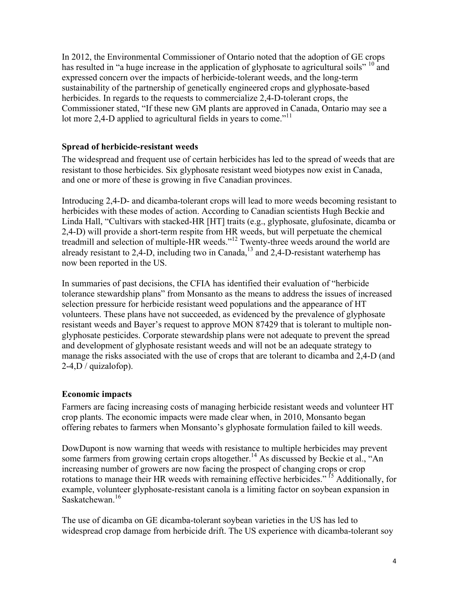In 2012, the Environmental Commissioner of Ontario noted that the adoption of GE crops has resulted in "a huge increase in the application of glyphosate to agricultural soils" <sup>10</sup> and expressed concern over the impacts of herbicide-tolerant weeds, and the long-term sustainability of the partnership of genetically engineered crops and glyphosate-based herbicides. In regards to the requests to commercialize 2,4-D-tolerant crops, the Commissioner stated, "If these new GM plants are approved in Canada, Ontario may see a lot more 2,4-D applied to agricultural fields in years to come.<sup>"11</sup>

## **Spread of herbicide-resistant weeds**

The widespread and frequent use of certain herbicides has led to the spread of weeds that are resistant to those herbicides. Six glyphosate resistant weed biotypes now exist in Canada, and one or more of these is growing in five Canadian provinces.

Introducing 2,4-D- and dicamba-tolerant crops will lead to more weeds becoming resistant to herbicides with these modes of action. According to Canadian scientists Hugh Beckie and Linda Hall, "Cultivars with stacked-HR [HT] traits (e.g., glyphosate, glufosinate, dicamba or 2,4-D) will provide a short-term respite from HR weeds, but will perpetuate the chemical treadmill and selection of multiple-HR weeds."<sup>12</sup> Twenty-three weeds around the world are already resistant to 2,4-D, including two in Canada,<sup>13</sup> and 2,4-D-resistant waterhemp has now been reported in the US.

In summaries of past decisions, the CFIA has identified their evaluation of "herbicide tolerance stewardship plans" from Monsanto as the means to address the issues of increased selection pressure for herbicide resistant weed populations and the appearance of HT volunteers. These plans have not succeeded, as evidenced by the prevalence of glyphosate resistant weeds and Bayer's request to approve MON 87429 that is tolerant to multiple nonglyphosate pesticides. Corporate stewardship plans were not adequate to prevent the spread and development of glyphosate resistant weeds and will not be an adequate strategy to manage the risks associated with the use of crops that are tolerant to dicamba and 2,4-D (and 2-4,D / quizalofop).

#### **Economic impacts**

Farmers are facing increasing costs of managing herbicide resistant weeds and volunteer HT crop plants. The economic impacts were made clear when, in 2010, Monsanto began offering rebates to farmers when Monsanto's glyphosate formulation failed to kill weeds.

DowDupont is now warning that weeds with resistance to multiple herbicides may prevent some farmers from growing certain crops altogether.<sup>14</sup> As discussed by Beckie et al., "An increasing number of growers are now facing the prospect of changing crops or crop rotations to manage their HR weeds with remaining effective herbicides." <sup>15</sup> Additionally, for example, volunteer glyphosate-resistant canola is a limiting factor on soybean expansion in Saskatchewan<sup>16</sup>

The use of dicamba on GE dicamba-tolerant soybean varieties in the US has led to widespread crop damage from herbicide drift. The US experience with dicamba-tolerant soy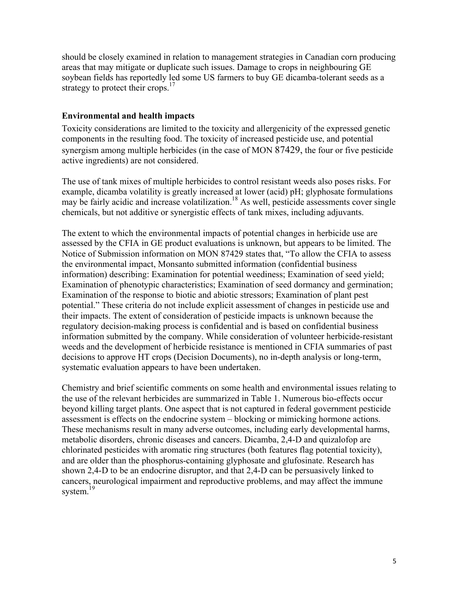should be closely examined in relation to management strategies in Canadian corn producing areas that may mitigate or duplicate such issues. Damage to crops in neighbouring GE soybean fields has reportedly led some US farmers to buy GE dicamba-tolerant seeds as a strategy to protect their crops.<sup>17</sup>

#### **Environmental and health impacts**

Toxicity considerations are limited to the toxicity and allergenicity of the expressed genetic components in the resulting food. The toxicity of increased pesticide use, and potential synergism among multiple herbicides (in the case of MON 87429, the four or five pesticide active ingredients) are not considered.

The use of tank mixes of multiple herbicides to control resistant weeds also poses risks. For example, dicamba volatility is greatly increased at lower (acid) pH; glyphosate formulations may be fairly acidic and increase volatilization.<sup>18</sup> As well, pesticide assessments cover single chemicals, but not additive or synergistic effects of tank mixes, including adjuvants.

The extent to which the environmental impacts of potential changes in herbicide use are assessed by the CFIA in GE product evaluations is unknown, but appears to be limited. The Notice of Submission information on MON 87429 states that, "To allow the CFIA to assess the environmental impact, Monsanto submitted information (confidential business information) describing: Examination for potential weediness; Examination of seed yield; Examination of phenotypic characteristics; Examination of seed dormancy and germination; Examination of the response to biotic and abiotic stressors; Examination of plant pest potential." These criteria do not include explicit assessment of changes in pesticide use and their impacts. The extent of consideration of pesticide impacts is unknown because the regulatory decision-making process is confidential and is based on confidential business information submitted by the company. While consideration of volunteer herbicide-resistant weeds and the development of herbicide resistance is mentioned in CFIA summaries of past decisions to approve HT crops (Decision Documents), no in-depth analysis or long-term, systematic evaluation appears to have been undertaken.

Chemistry and brief scientific comments on some health and environmental issues relating to the use of the relevant herbicides are summarized in Table 1. Numerous bio-effects occur beyond killing target plants. One aspect that is not captured in federal government pesticide assessment is effects on the endocrine system – blocking or mimicking hormone actions. These mechanisms result in many adverse outcomes, including early developmental harms, metabolic disorders, chronic diseases and cancers. Dicamba, 2,4-D and quizalofop are chlorinated pesticides with aromatic ring structures (both features flag potential toxicity), and are older than the phosphorus-containing glyphosate and glufosinate. Research has shown 2,4-D to be an endocrine disruptor, and that 2,4-D can be persuasively linked to cancers, neurological impairment and reproductive problems, and may affect the immune system.<sup>19</sup>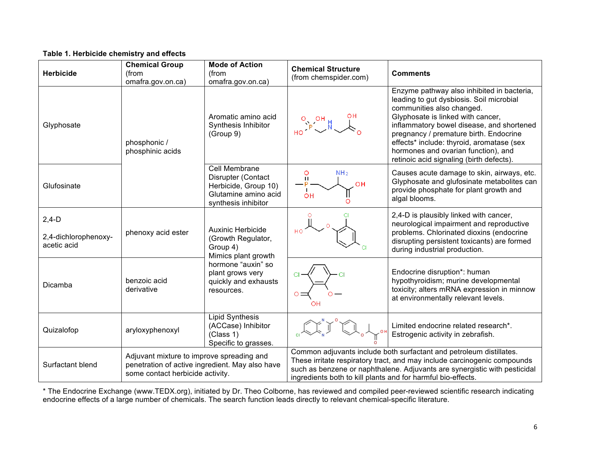## **Table 1. Herbicide chemistry and effects**

| <b>Herbicide</b>                               | <b>Chemical Group</b><br>(from<br>omafra.gov.on.ca)                                                                              | <b>Mode of Action</b><br>(from<br>omafra.gov.on.ca)                                                                                                               | <b>Chemical Structure</b><br>(from chemspider.com)                                                                                                                                                                                                                                           | <b>Comments</b>                                                                                                                                                                                                                                                                                                                                                                 |
|------------------------------------------------|----------------------------------------------------------------------------------------------------------------------------------|-------------------------------------------------------------------------------------------------------------------------------------------------------------------|----------------------------------------------------------------------------------------------------------------------------------------------------------------------------------------------------------------------------------------------------------------------------------------------|---------------------------------------------------------------------------------------------------------------------------------------------------------------------------------------------------------------------------------------------------------------------------------------------------------------------------------------------------------------------------------|
| Glyphosate                                     | phosphonic /<br>phosphinic acids                                                                                                 | Aromatic amino acid<br>Synthesis Inhibitor<br>(Group 9)                                                                                                           | $\frac{1}{\sqrt{P}}\sum_{i=1}^{P}$                                                                                                                                                                                                                                                           | Enzyme pathway also inhibited in bacteria,<br>leading to gut dysbiosis. Soil microbial<br>communities also changed.<br>Glyphosate is linked with cancer,<br>inflammatory bowel disease, and shortened<br>pregnancy / premature birth. Endocrine<br>effects* include: thyroid, aromatase (sex<br>hormones and ovarian function), and<br>retinoic acid signaling (birth defects). |
| Glufosinate                                    |                                                                                                                                  | Cell Membrane<br>Disrupter (Contact<br>Herbicide, Group 10)<br>Glutamine amino acid<br>synthesis inhibitor                                                        | NH <sub>2</sub><br>O<br>$\mathbf{H}$<br>OH<br>OH                                                                                                                                                                                                                                             | Causes acute damage to skin, airways, etc.<br>Glyphosate and glufosinate metabolites can<br>provide phosphate for plant growth and<br>algal blooms.                                                                                                                                                                                                                             |
| $2,4-D$<br>2,4-dichlorophenoxy-<br>acetic acid | phenoxy acid ester                                                                                                               | <b>Auxinic Herbicide</b><br>(Growth Regulator,<br>Group 4)<br>Mimics plant growth<br>hormone "auxin" so<br>plant grows very<br>quickly and exhausts<br>resources. |                                                                                                                                                                                                                                                                                              | 2,4-D is plausibly linked with cancer,<br>neurological impairment and reproductive<br>problems. Chlorinated dioxins (endocrine<br>disrupting persistent toxicants) are formed<br>during industrial production.                                                                                                                                                                  |
| Dicamba                                        | benzoic acid<br>derivative                                                                                                       |                                                                                                                                                                   |                                                                                                                                                                                                                                                                                              | Endocrine disruption*: human<br>hypothyroidism; murine developmental<br>toxicity; alters mRNA expression in minnow<br>at environmentally relevant levels.                                                                                                                                                                                                                       |
| Quizalofop                                     | aryloxyphenoxyl                                                                                                                  | <b>Lipid Synthesis</b><br>(ACCase) Inhibitor<br>(Class 1)<br>Specific to grasses.                                                                                 |                                                                                                                                                                                                                                                                                              | Limited endocrine related research*.<br>Estrogenic activity in zebrafish.                                                                                                                                                                                                                                                                                                       |
| Surfactant blend                               | Adjuvant mixture to improve spreading and<br>penetration of active ingredient. May also have<br>some contact herbicide activity. |                                                                                                                                                                   | Common adjuvants include both surfactant and petroleum distillates.<br>These irritate respiratory tract, and may include carcinogenic compounds<br>such as benzene or naphthalene. Adjuvants are synergistic with pesticidal<br>ingredients both to kill plants and for harmful bio-effects. |                                                                                                                                                                                                                                                                                                                                                                                 |

\* The Endocrine Exchange (www.TEDX.org), initiated by Dr. Theo Colborne, has reviewed and compiled peer-reviewed scientific research indicating endocrine effects of a large number of chemicals. The search function leads directly to relevant chemical-specific literature.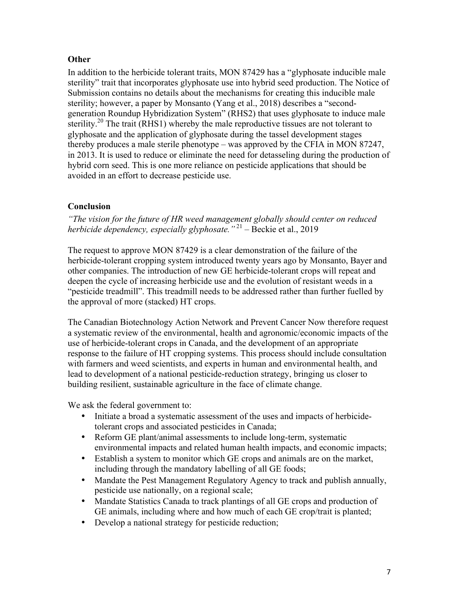# **Other**

In addition to the herbicide tolerant traits, MON 87429 has a "glyphosate inducible male sterility" trait that incorporates glyphosate use into hybrid seed production. The Notice of Submission contains no details about the mechanisms for creating this inducible male sterility; however, a paper by Monsanto (Yang et al., 2018) describes a "secondgeneration Roundup Hybridization System" (RHS2) that uses glyphosate to induce male sterility.<sup>20</sup> The trait (RHS1) whereby the male reproductive tissues are not tolerant to glyphosate and the application of glyphosate during the tassel development stages thereby produces a male sterile phenotype – was approved by the CFIA in MON 87247, in 2013. It is used to reduce or eliminate the need for detasseling during the production of hybrid corn seed. This is one more reliance on pesticide applications that should be avoided in an effort to decrease pesticide use.

# **Conclusion**

*"The vision for the future of HR weed management globally should center on reduced herbicide dependency, especially glyphosate.*<sup>"21</sup> – Beckie et al., 2019

The request to approve MON 87429 is a clear demonstration of the failure of the herbicide-tolerant cropping system introduced twenty years ago by Monsanto, Bayer and other companies. The introduction of new GE herbicide-tolerant crops will repeat and deepen the cycle of increasing herbicide use and the evolution of resistant weeds in a "pesticide treadmill". This treadmill needs to be addressed rather than further fuelled by the approval of more (stacked) HT crops.

The Canadian Biotechnology Action Network and Prevent Cancer Now therefore request a systematic review of the environmental, health and agronomic/economic impacts of the use of herbicide-tolerant crops in Canada, and the development of an appropriate response to the failure of HT cropping systems. This process should include consultation with farmers and weed scientists, and experts in human and environmental health, and lead to development of a national pesticide-reduction strategy, bringing us closer to building resilient, sustainable agriculture in the face of climate change.

We ask the federal government to:

- Initiate a broad a systematic assessment of the uses and impacts of herbicidetolerant crops and associated pesticides in Canada;
- Reform GE plant/animal assessments to include long-term, systematic environmental impacts and related human health impacts, and economic impacts;
- Establish a system to monitor which GE crops and animals are on the market, including through the mandatory labelling of all GE foods;
- Mandate the Pest Management Regulatory Agency to track and publish annually, pesticide use nationally, on a regional scale;
- Mandate Statistics Canada to track plantings of all GE crops and production of GE animals, including where and how much of each GE crop/trait is planted;
- Develop a national strategy for pesticide reduction;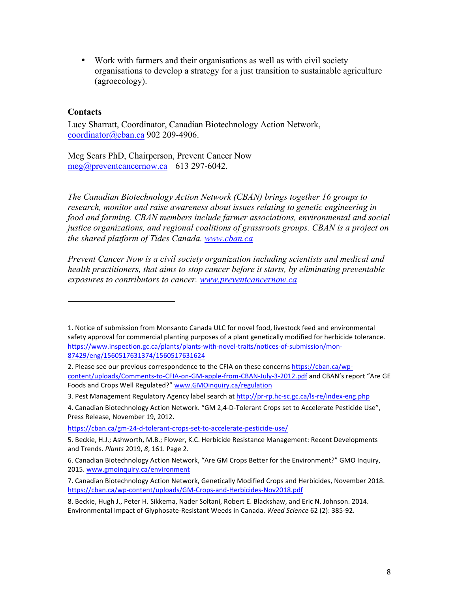• Work with farmers and their organisations as well as with civil society organisations to develop a strategy for a just transition to sustainable agriculture (agroecology).

#### **Contacts**

Lucy Sharratt, Coordinator, Canadian Biotechnology Action Network, coordinator@cban.ca 902 209-4906.

Meg Sears PhD, Chairperson, Prevent Cancer Now meg@preventcancernow.ca 613 297-6042.

 

*The Canadian Biotechnology Action Network (CBAN) brings together 16 groups to research, monitor and raise awareness about issues relating to genetic engineering in food and farming. CBAN members include farmer associations, environmental and social justice organizations, and regional coalitions of grassroots groups. CBAN is a project on the shared platform of Tides Canada. www.cban.ca*

*Prevent Cancer Now is a civil society organization including scientists and medical and health practitioners, that aims to stop cancer before it starts, by eliminating preventable exposures to contributors to cancer. www.preventcancernow.ca*

<sup>1.</sup> Notice of submission from Monsanto Canada ULC for novel food, livestock feed and environmental safety approval for commercial planting purposes of a plant genetically modified for herbicide tolerance. https://www.inspection.gc.ca/plants/plants-with-novel-traits/notices-of-submission/mon-87429/eng/1560517631374/1560517631624

<sup>2.</sup> Please see our previous correspondence to the CFIA on these concerns https://cban.ca/wpcontent/uploads/Comments-to-CFIA-on-GM-apple-from-CBAN-July-3-2012.pdf and CBAN's report "Are GE Foods and Crops Well Regulated?" www.GMOinquiry.ca/regulation

<sup>3.</sup> Pest Management Regulatory Agency label search at http://pr-rp.hc-sc.gc.ca/ls-re/index-eng.php

<sup>4.</sup> Canadian Biotechnology Action Network. "GM 2,4-D-Tolerant Crops set to Accelerate Pesticide Use", Press Release, November 19, 2012.

https://cban.ca/gm-24-d-tolerant-crops-set-to-accelerate-pesticide-use/

<sup>5.</sup> Beckie, H.J.; Ashworth, M.B.; Flower, K.C. Herbicide Resistance Management: Recent Developments and Trends. *Plants* 2019, *8*, 161. Page 2.

<sup>6.</sup> Canadian Biotechnology Action Network, "Are GM Crops Better for the Environment?" GMO Inquiry, 2015. www.gmoinquiry.ca/environment

<sup>7.</sup> Canadian Biotechnology Action Network, Genetically Modified Crops and Herbicides, November 2018. https://cban.ca/wp-content/uploads/GM-Crops-and-Herbicides-Nov2018.pdf

<sup>8.</sup> Beckie, Hugh J., Peter H. Sikkema, Nader Soltani, Robert E. Blackshaw, and Eric N. Johnson. 2014. Environmental Impact of Glyphosate-Resistant Weeds in Canada. Weed Science 62 (2): 385-92.